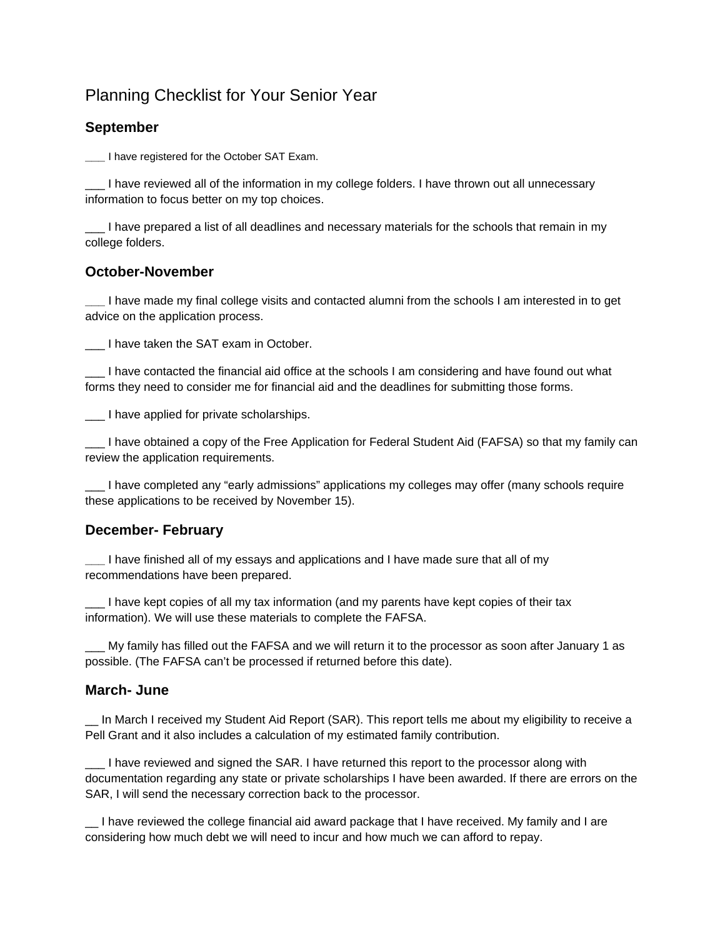# Planning Checklist for Your Senior Year

## **September**

**\_\_\_** I have registered for the October SAT Exam.

I have reviewed all of the information in my college folders. I have thrown out all unnecessary information to focus better on my top choices.

\_\_\_ I have prepared a list of all deadlines and necessary materials for the schools that remain in my college folders.

### **October-November**

**\_\_\_** I have made my final college visits and contacted alumni from the schools I am interested in to get advice on the application process.

\_\_\_ I have taken the SAT exam in October.

\_\_\_ I have contacted the financial aid office at the schools I am considering and have found out what forms they need to consider me for financial aid and the deadlines for submitting those forms.

\_\_\_ I have applied for private scholarships.

\_\_\_ I have obtained a copy of the Free Application for Federal Student Aid (FAFSA) so that my family can review the application requirements.

\_\_\_ I have completed any "early admissions" applications my colleges may offer (many schools require these applications to be received by November 15).

### **December- February**

**\_\_\_** I have finished all of my essays and applications and I have made sure that all of my recommendations have been prepared.

I have kept copies of all my tax information (and my parents have kept copies of their tax information). We will use these materials to complete the FAFSA.

My family has filled out the FAFSA and we will return it to the processor as soon after January 1 as possible. (The FAFSA can't be processed if returned before this date).

### **March- June**

\_\_ In March I received my Student Aid Report (SAR). This report tells me about my eligibility to receive a Pell Grant and it also includes a calculation of my estimated family contribution.

\_\_\_ I have reviewed and signed the SAR. I have returned this report to the processor along with documentation regarding any state or private scholarships I have been awarded. If there are errors on the SAR, I will send the necessary correction back to the processor.

\_\_ I have reviewed the college financial aid award package that I have received. My family and I are considering how much debt we will need to incur and how much we can afford to repay.